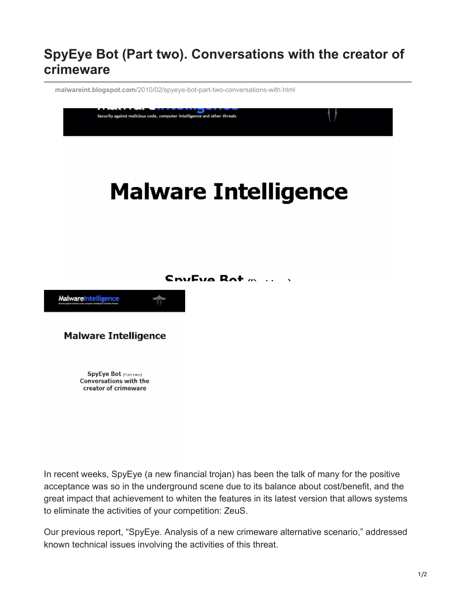## **SpyEye Bot (Part two). Conversations with the creator of crimeware**

**malwareint.blogspot.com**[/2010/02/spyeye-bot-part-two-conversations-with.html](http://malwareint.blogspot.com/2010/02/spyeye-bot-part-two-conversations-with.html)



In recent weeks, SpyEye (a new financial trojan) has been the talk of many for the positive acceptance was so in the underground scene due to its balance about cost/benefit, and the great impact that achievement to whiten the features in its latest version that allows systems to eliminate the activities of your competition: ZeuS.

Our previous report, "SpyEye. Analysis of a new crimeware alternative scenario," addressed known technical issues involving the activities of this threat.